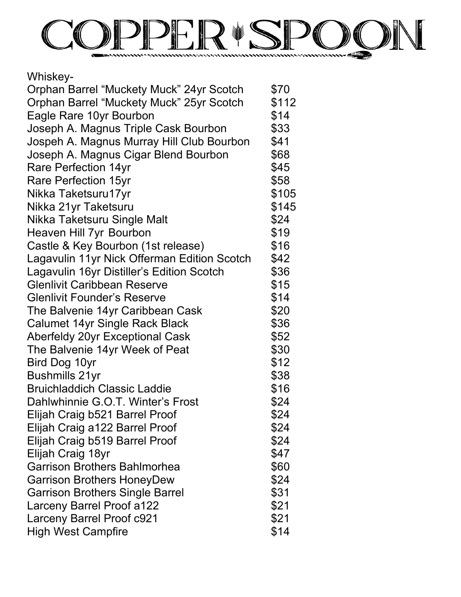

| Whiskey-                                    |       |
|---------------------------------------------|-------|
| Orphan Barrel "Muckety Muck" 24yr Scotch    | \$70  |
| Orphan Barrel "Muckety Muck" 25yr Scotch    | \$112 |
| Eagle Rare 10yr Bourbon                     | \$14  |
| Joseph A. Magnus Triple Cask Bourbon        | \$33  |
| Jospeh A. Magnus Murray Hill Club Bourbon   | \$41  |
| Joseph A. Magnus Cigar Blend Bourbon        | \$68  |
| <b>Rare Perfection 14yr</b>                 | \$45  |
| <b>Rare Perfection 15yr</b>                 | \$58  |
| Nikka Taketsuru17yr                         | \$105 |
| Nikka 21yr Taketsuru                        | \$145 |
| Nikka Taketsuru Single Malt                 | \$24  |
| <b>Heaven Hill 7yr Bourbon</b>              | \$19  |
| Castle & Key Bourbon (1st release)          | \$16  |
| Lagavulin 11yr Nick Offerman Edition Scotch | \$42  |
| Lagavulin 16yr Distiller's Edition Scotch   | \$36  |
| <b>Glenlivit Caribbean Reserve</b>          | \$15  |
| <b>Glenlivit Founder's Reserve</b>          | \$14  |
| The Balvenie 14yr Caribbean Cask            | \$20  |
| <b>Calumet 14yr Single Rack Black</b>       | \$36  |
| <b>Aberfeldy 20yr Exceptional Cask</b>      | \$52  |
| The Balvenie 14yr Week of Peat              | \$30  |
| Bird Dog 10yr                               | \$12  |
| <b>Bushmills 21yr</b>                       | \$38  |
| <b>Bruichladdich Classic Laddie</b>         | \$16  |
| Dahlwhinnie G.O.T. Winter's Frost           | \$24  |
| Elijah Craig b521 Barrel Proof              | \$24  |
| Elijah Craig a122 Barrel Proof              | \$24  |
| Elijah Craig b519 Barrel Proof              | \$24  |
| Elijah Craig 18yr                           | \$47  |
| <b>Garrison Brothers Bahlmorhea</b>         | \$60  |
| Garrison Brothers HoneyDew                  | \$24  |
| Garrison Brothers Single Barrel             | \$31  |
| <b>Larceny Barrel Proof a122</b>            | \$21  |
| Larceny Barrel Proof c921                   | \$21  |
| <b>High West Campfire</b>                   | \$14  |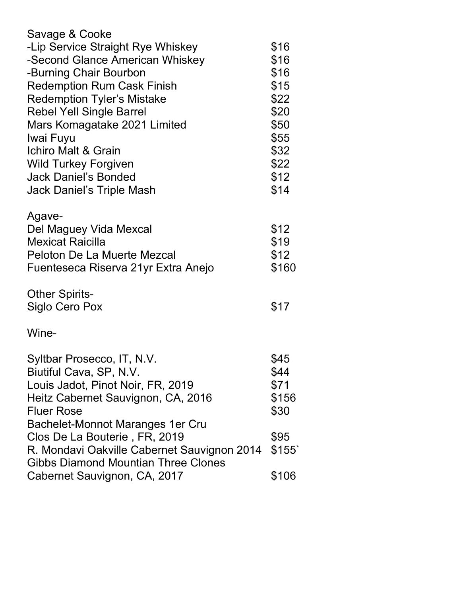| Savage & Cooke                              |       |
|---------------------------------------------|-------|
| -Lip Service Straight Rye Whiskey           | \$16  |
| -Second Glance American Whiskey             | \$16  |
| -Burning Chair Bourbon                      | \$16  |
| <b>Redemption Rum Cask Finish</b>           | \$15  |
| <b>Redemption Tyler's Mistake</b>           | \$22  |
| <b>Rebel Yell Single Barrel</b>             | \$20  |
| Mars Komagatake 2021 Limited                | \$50  |
| Iwai Fuyu                                   | \$55  |
| <b>Ichiro Malt &amp; Grain</b>              | \$32  |
| <b>Wild Turkey Forgiven</b>                 | \$22  |
| <b>Jack Daniel's Bonded</b>                 | \$12  |
| <b>Jack Daniel's Triple Mash</b>            | \$14  |
| Agave-                                      |       |
| Del Maguey Vida Mexcal                      | \$12  |
| <b>Mexicat Raicilla</b>                     | \$19  |
| <b>Peloton De La Muerte Mezcal</b>          | \$12  |
| Fuenteseca Riserva 21yr Extra Anejo         | \$160 |
| <b>Other Spirits-</b>                       |       |
| Siglo Cero Pox                              | \$17  |
| Wine-                                       |       |
| Syltbar Prosecco, IT, N.V.                  | \$45  |
| Biutiful Cava, SP, N.V.                     | \$44  |
| Louis Jadot, Pinot Noir, FR, 2019           | \$71  |
| Heitz Cabernet Sauvignon, CA, 2016          | \$156 |
| <b>Fluer Rose</b>                           | \$30  |
| Bachelet-Monnot Maranges 1er Cru            |       |
| Clos De La Bouterie, FR, 2019               | \$95  |
| R. Mondavi Oakville Cabernet Sauvignon 2014 | \$155 |
| <b>Gibbs Diamond Mountian Three Clones</b>  |       |
| Cabernet Sauvignon, CA, 2017                | \$106 |